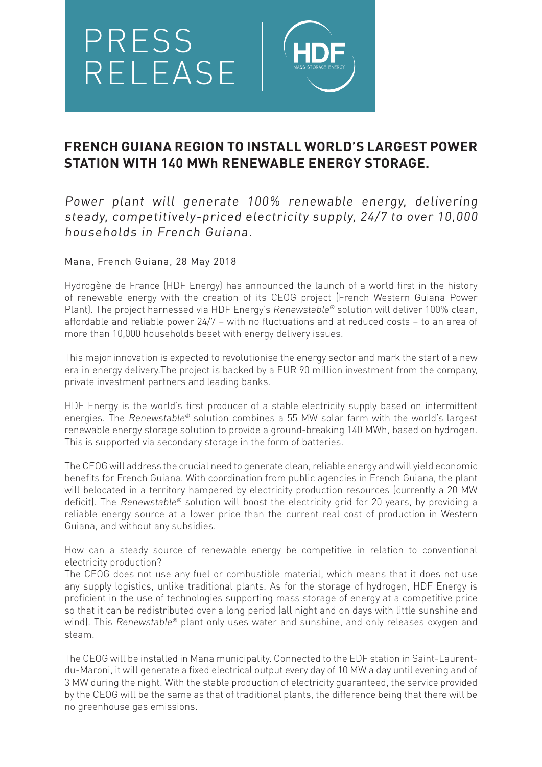

## **FRENCH GUIANA REGION TO INSTALL WORLD'S LARGEST POWER STATION WITH 140 MWh RENEWABLE ENERGY STORAGE.**

Power plant will generate 100% renewable energy, delivering steady, competitively-priced electricity supply, 24/7 to over 10,000 households in French Guiana.

Mana, French Guiana, 28 May 2018

Hydrogène de France (HDF Energy) has announced the launch of a world first in the history of renewable energy with the creation of its CEOG project (French Western Guiana Power Plant). The project harnessed via HDF Energy's Renewstable® solution will deliver 100% clean, affordable and reliable power 24/7 – with no fluctuations and at reduced costs – to an area of more than 10,000 households beset with energy delivery issues.

This major innovation is expected to revolutionise the energy sector and mark the start of a new era in energy delivery.The project is backed by a EUR 90 million investment from the company, private investment partners and leading banks.

HDF Energy is the world's first producer of a stable electricity supply based on intermittent energies. The Renewstable® solution combines a 55 MW solar farm with the world's largest renewable energy storage solution to provide a ground-breaking 140 MWh, based on hydrogen. This is supported via secondary storage in the form of batteries.

The CEOG will address the crucial need to generate clean, reliable energy and will yield economic benefits for French Guiana. With coordination from public agencies in French Guiana, the plant will belocated in a territory hampered by electricity production resources (currently a 20 MW deficit). The Renewstable® solution will boost the electricity grid for 20 years, by providing a reliable energy source at a lower price than the current real cost of production in Western Guiana, and without any subsidies.

How can a steady source of renewable energy be competitive in relation to conventional electricity production?

The CEOG does not use any fuel or combustible material, which means that it does not use any supply logistics, unlike traditional plants. As for the storage of hydrogen, HDF Energy is proficient in the use of technologies supporting mass storage of energy at a competitive price so that it can be redistributed over a long period (all night and on days with little sunshine and wind). This Renewstable® plant only uses water and sunshine, and only releases oxygen and steam.

The CEOG will be installed in Mana municipality. Connected to the EDF station in Saint-Laurentdu-Maroni, it will generate a fixed electrical output every day of 10 MW a day until evening and of 3 MW during the night. With the stable production of electricity guaranteed, the service provided by the CEOG will be the same as that of traditional plants, the difference being that there will be no greenhouse gas emissions.